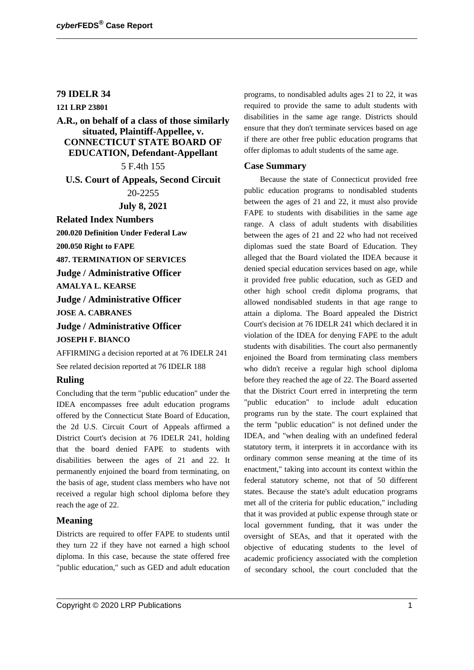## **79 IDELR 34**

**121 LRP 23801**

# **A.R., on behalf of a class of those similarly situated, Plaintiff-Appellee, v. CONNECTICUT STATE BOARD OF EDUCATION, Defendant-Appellant**

5 F.4th 155

**U.S. Court of Appeals, Second Circuit**

20-2255

**July 8, 2021**

**Related Index Numbers 200.020 Definition Under Federal Law**

**200.050 Right to FAPE**

**487. TERMINATION OF SERVICES**

**Judge / Administrative Officer**

**AMALYA L. KEARSE**

**Judge / Administrative Officer JOSE A. CABRANES**

**Judge / Administrative Officer**

**JOSEPH F. BIANCO**

AFFIRMING a decision reported at at 76 IDELR 241 See related decision reported at 76 IDELR 188

### **Ruling**

Concluding that the term "public education" under the IDEA encompasses free adult education programs offered by the Connecticut State Board of Education, the 2d U.S. Circuit Court of Appeals affirmed a District Court's decision at 76 IDELR 241, holding that the board denied FAPE to students with disabilities between the ages of 21 and 22. It permanently enjoined the board from terminating, on the basis of age, student class members who have not received a regular high school diploma before they reach the age of 22.

### **Meaning**

Districts are required to offer FAPE to students until they turn 22 if they have not earned a high school diploma. In this case, because the state offered free "public education," such as GED and adult education programs, to nondisabled adults ages 21 to 22, it was required to provide the same to adult students with disabilities in the same age range. Districts should ensure that they don't terminate services based on age if there are other free public education programs that offer diplomas to adult students of the same age.

#### **Case Summary**

Because the state of Connecticut provided free public education programs to nondisabled students between the ages of 21 and 22, it must also provide FAPE to students with disabilities in the same age range. A class of adult students with disabilities between the ages of 21 and 22 who had not received diplomas sued the state Board of Education. They alleged that the Board violated the IDEA because it denied special education services based on age, while it provided free public education, such as GED and other high school credit diploma programs, that allowed nondisabled students in that age range to attain a diploma. The Board appealed the District Court's decision at 76 IDELR 241 which declared it in violation of the IDEA for denying FAPE to the adult students with disabilities. The court also permanently enjoined the Board from terminating class members who didn't receive a regular high school diploma before they reached the age of 22. The Board asserted that the District Court erred in interpreting the term "public education" to include adult education programs run by the state. The court explained that the term "public education" is not defined under the IDEA, and "when dealing with an undefined federal statutory term, it interprets it in accordance with its ordinary common sense meaning at the time of its enactment," taking into account its context within the federal statutory scheme, not that of 50 different states. Because the state's adult education programs met all of the criteria for public education," including that it was provided at public expense through state or local government funding, that it was under the oversight of SEAs, and that it operated with the objective of educating students to the level of academic proficiency associated with the completion of secondary school, the court concluded that the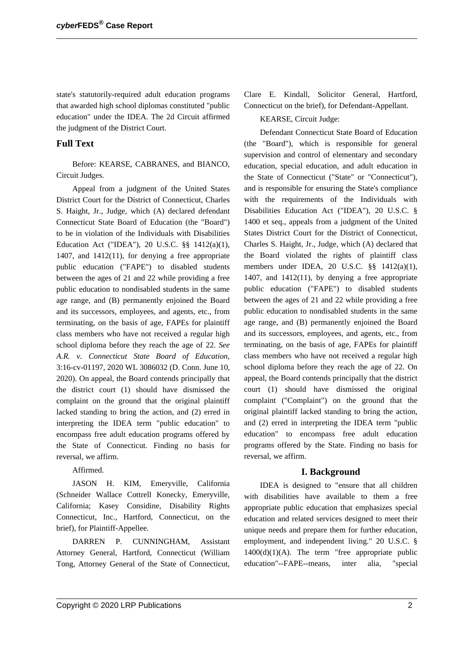state's statutorily-required adult education programs that awarded high school diplomas constituted "public education" under the IDEA. The 2d Circuit affirmed the judgment of the District Court.

## **Full Text**

Before: KEARSE, CABRANES, and BIANCO, Circuit Judges.

Appeal from a judgment of the United States District Court for the District of Connecticut, Charles S. Haight, Jr., Judge, which (A) declared defendant Connecticut State Board of Education (the "Board") to be in violation of the Individuals with Disabilities Education Act ("IDEA"), 20 U.S.C. §§ 1412(a)(1), 1407, and 1412(11), for denying a free appropriate public education ("FAPE") to disabled students between the ages of 21 and 22 while providing a free public education to nondisabled students in the same age range, and (B) permanently enjoined the Board and its successors, employees, and agents, etc., from terminating, on the basis of age, FAPEs for plaintiff class members who have not received a regular high school diploma before they reach the age of 22. *See A.R. v. Connecticut State Board of Education*, 3:16-cv-01197, 2020 WL 3086032 (D. Conn. June 10, 2020). On appeal, the Board contends principally that the district court (1) should have dismissed the complaint on the ground that the original plaintiff lacked standing to bring the action, and (2) erred in interpreting the IDEA term "public education" to encompass free adult education programs offered by the State of Connecticut. Finding no basis for reversal, we affirm.

Affirmed.

JASON H. KIM, Emeryville, California (Schneider Wallace Cottrell Konecky, Emeryville, California; Kasey Considine, Disability Rights Connecticut, Inc., Hartford, Connecticut, on the brief), for Plaintiff-Appellee.

DARREN P. CUNNINGHAM, Assistant Attorney General, Hartford, Connecticut (William Tong, Attorney General of the State of Connecticut, Clare E. Kindall, Solicitor General, Hartford, Connecticut on the brief), for Defendant-Appellant.

### KEARSE, Circuit Judge:

Defendant Connecticut State Board of Education (the "Board"), which is responsible for general supervision and control of elementary and secondary education, special education, and adult education in the State of Connecticut ("State" or "Connecticut"), and is responsible for ensuring the State's compliance with the requirements of the Individuals with Disabilities Education Act ("IDEA"), 20 U.S.C. § 1400 et seq., appeals from a judgment of the United States District Court for the District of Connecticut, Charles S. Haight, Jr., Judge, which (A) declared that the Board violated the rights of plaintiff class members under IDEA, 20 U.S.C. §§ 1412(a)(1), 1407, and 1412(11), by denying a free appropriate public education ("FAPE") to disabled students between the ages of 21 and 22 while providing a free public education to nondisabled students in the same age range, and (B) permanently enjoined the Board and its successors, employees, and agents, etc., from terminating, on the basis of age, FAPEs for plaintiff class members who have not received a regular high school diploma before they reach the age of 22. On appeal, the Board contends principally that the district court (1) should have dismissed the original complaint ("Complaint") on the ground that the original plaintiff lacked standing to bring the action, and (2) erred in interpreting the IDEA term "public education" to encompass free adult education programs offered by the State. Finding no basis for reversal, we affirm.

### **I. Background**

IDEA is designed to "ensure that all children with disabilities have available to them a free appropriate public education that emphasizes special education and related services designed to meet their unique needs and prepare them for further education, employment, and independent living." 20 U.S.C. § 1400(d)(1)(A). The term "free appropriate public education"--FAPE--means, inter alia, "special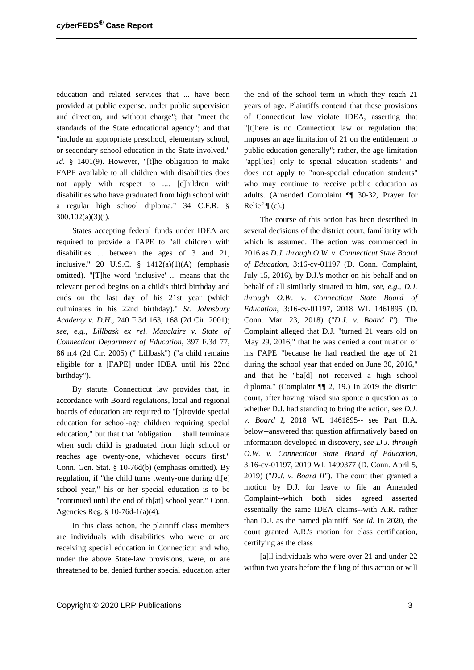education and related services that ... have been provided at public expense, under public supervision and direction, and without charge"; that "meet the standards of the State educational agency"; and that "include an appropriate preschool, elementary school, or secondary school education in the State involved." Id. § 1401(9). However, "[t]he obligation to make FAPE available to all children with disabilities does not apply with respect to .... [c]hildren with disabilities who have graduated from high school with a regular high school diploma." 34 C.F.R. § 300.102(a)(3)(i).

States accepting federal funds under IDEA are required to provide a FAPE to "all children with disabilities ... between the ages of 3 and 21, inclusive." 20 U.S.C.  $\S$  1412(a)(1)(A) (emphasis omitted). "[T]he word 'inclusive' ... means that the relevant period begins on a child's third birthday and ends on the last day of his 21st year (which culminates in his 22nd birthday)." *St. Johnsbury Academy v. D.H*., 240 F.3d 163, 168 (2d Cir. 2001); *see, e.g., Lillbask ex rel. Mauclaire v. State of Connecticut Department of Education*, 397 F.3d 77, 86 n.4 (2d Cir. 2005) (" Lillbask") ("a child remains eligible for a [FAPE] under IDEA until his 22nd birthday").

By statute, Connecticut law provides that, in accordance with Board regulations, local and regional boards of education are required to "[p]rovide special education for school-age children requiring special education," but that that "obligation ... shall terminate when such child is graduated from high school or reaches age twenty-one, whichever occurs first." Conn. Gen. Stat. § 10-76d(b) (emphasis omitted). By regulation, if "the child turns twenty-one during th[e] school year," his or her special education is to be "continued until the end of th[at] school year." Conn. Agencies Reg. § 10-76d-1(a)(4).

In this class action, the plaintiff class members are individuals with disabilities who were or are receiving special education in Connecticut and who, under the above State-law provisions, were, or are threatened to be, denied further special education after the end of the school term in which they reach 21 years of age. Plaintiffs contend that these provisions of Connecticut law violate IDEA, asserting that "[t]here is no Connecticut law or regulation that imposes an age limitation of 21 on the entitlement to public education generally"; rather, the age limitation "appl[ies] only to special education students" and does not apply to "non-special education students" who may continue to receive public education as adults. (Amended Complaint ¶¶ 30-32, Prayer for Relief  $\P$  (c).)

The course of this action has been described in several decisions of the district court, familiarity with which is assumed. The action was commenced in 2016 as *D.J. through O.W. v. Connecticut State Board of Education*, 3:16-cv-01197 (D. Conn. Complaint, July 15, 2016), by D.J.'s mother on his behalf and on behalf of all similarly situated to him, *see, e.g., D.J. through O.W. v. Connecticut State Board of Education*, 3:16-cv-01197, 2018 WL 1461895 (D. Conn. Mar. 23, 2018) ("*D.J. v. Board I*"). The Complaint alleged that D.J. "turned 21 years old on May 29, 2016," that he was denied a continuation of his FAPE "because he had reached the age of 21 during the school year that ended on June 30, 2016," and that he "ha[d] not received a high school diploma." (Complaint ¶¶ 2, 19.) In 2019 the district court, after having raised sua sponte a question as to whether D.J. had standing to bring the action, *see D.J. v. Board I*, 2018 WL 1461895-- see Part II.A. below--answered that question affirmatively based on information developed in discovery, *see D.J. through O.W. v. Connecticut State Board of Education*, 3:16-cv-01197, 2019 WL 1499377 (D. Conn. April 5, 2019) ("*D.J. v. Board II*"). The court then granted a motion by D.J. for leave to file an Amended Complaint--which both sides agreed asserted essentially the same IDEA claims--with A.R. rather than D.J. as the named plaintiff. *See id.* In 2020, the court granted A.R.'s motion for class certification, certifying as the class

[a]ll individuals who were over 21 and under 22 within two years before the filing of this action or will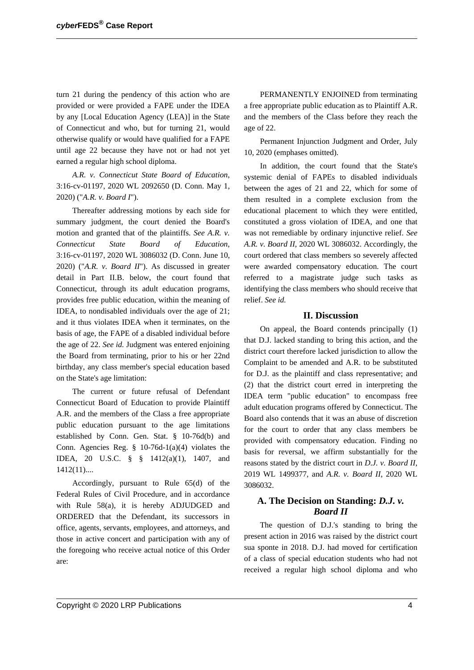turn 21 during the pendency of this action who are provided or were provided a FAPE under the IDEA by any [Local Education Agency (LEA)] in the State of Connecticut and who, but for turning 21, would otherwise qualify or would have qualified for a FAPE until age 22 because they have not or had not yet earned a regular high school diploma.

*A.R. v. Connecticut State Board of Education*, 3:16-cv-01197, 2020 WL 2092650 (D. Conn. May 1, 2020) ("*A.R. v. Board I*").

Thereafter addressing motions by each side for summary judgment, the court denied the Board's motion and granted that of the plaintiffs. *See A.R. v. Connecticut State Board of Education*, 3:16-cv-01197, 2020 WL 3086032 (D. Conn. June 10, 2020) ("*A.R. v. Board II*"). As discussed in greater detail in Part II.B. below, the court found that Connecticut, through its adult education programs, provides free public education, within the meaning of IDEA, to nondisabled individuals over the age of 21; and it thus violates IDEA when it terminates, on the basis of age, the FAPE of a disabled individual before the age of 22. *See id.* Judgment was entered enjoining the Board from terminating, prior to his or her 22nd birthday, any class member's special education based on the State's age limitation:

The current or future refusal of Defendant Connecticut Board of Education to provide Plaintiff A.R. and the members of the Class a free appropriate public education pursuant to the age limitations established by Conn. Gen. Stat. § 10-76d(b) and Conn. Agencies Reg. § 10-76d-1(a)(4) violates the IDEA, 20 U.S.C. § § 1412(a)(1), 1407, and 1412(11)....

Accordingly, pursuant to Rule 65(d) of the Federal Rules of Civil Procedure, and in accordance with Rule 58(a), it is hereby ADJUDGED and ORDERED that the Defendant, its successors in office, agents, servants, employees, and attorneys, and those in active concert and participation with any of the foregoing who receive actual notice of this Order are:

PERMANENTLY ENJOINED from terminating a free appropriate public education as to Plaintiff A.R. and the members of the Class before they reach the age of 22.

Permanent Injunction Judgment and Order, July 10, 2020 (emphases omitted).

In addition, the court found that the State's systemic denial of FAPEs to disabled individuals between the ages of 21 and 22, which for some of them resulted in a complete exclusion from the educational placement to which they were entitled, constituted a gross violation of IDEA, and one that was not remediable by ordinary injunctive relief. *See A.R. v. Board II*, 2020 WL 3086032. Accordingly, the court ordered that class members so severely affected were awarded compensatory education. The court referred to a magistrate judge such tasks as identifying the class members who should receive that relief. *See id.*

#### **II. Discussion**

On appeal, the Board contends principally (1) that D.J. lacked standing to bring this action, and the district court therefore lacked jurisdiction to allow the Complaint to be amended and A.R. to be substituted for D.J. as the plaintiff and class representative; and (2) that the district court erred in interpreting the IDEA term "public education" to encompass free adult education programs offered by Connecticut. The Board also contends that it was an abuse of discretion for the court to order that any class members be provided with compensatory education. Finding no basis for reversal, we affirm substantially for the reasons stated by the district court in *D.J. v. Board II*, 2019 WL 1499377, and *A.R. v. Board II*, 2020 WL 3086032.

## **A. The Decision on Standing:** *D.J. v. Board II*

The question of D.J.'s standing to bring the present action in 2016 was raised by the district court sua sponte in 2018. D.J. had moved for certification of a class of special education students who had not received a regular high school diploma and who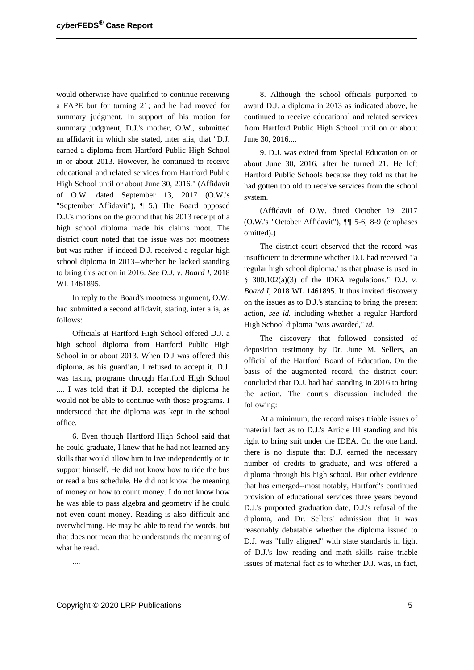would otherwise have qualified to continue receiving a FAPE but for turning 21; and he had moved for summary judgment. In support of his motion for summary judgment, D.J.'s mother, O.W., submitted an affidavit in which she stated, inter alia, that "D.J. earned a diploma from Hartford Public High School in or about 2013. However, he continued to receive educational and related services from Hartford Public High School until or about June 30, 2016." (Affidavit of O.W. dated September 13, 2017 (O.W.'s "September Affidavit"), ¶ 5.) The Board opposed D.J.'s motions on the ground that his 2013 receipt of a high school diploma made his claims moot. The district court noted that the issue was not mootness but was rather--if indeed D.J. received a regular high school diploma in 2013--whether he lacked standing to bring this action in 2016. *See D.J. v. Board I*, 2018 WL 1461895.

In reply to the Board's mootness argument, O.W. had submitted a second affidavit, stating, inter alia, as follows:

Officials at Hartford High School offered D.J. a high school diploma from Hartford Public High School in or about 2013. When D.J was offered this diploma, as his guardian, I refused to accept it. D.J. was taking programs through Hartford High School .... I was told that if D.J. accepted the diploma he would not be able to continue with those programs. I understood that the diploma was kept in the school office.

6. Even though Hartford High School said that he could graduate, I knew that he had not learned any skills that would allow him to live independently or to support himself. He did not know how to ride the bus or read a bus schedule. He did not know the meaning of money or how to count money. I do not know how he was able to pass algebra and geometry if he could not even count money. Reading is also difficult and overwhelming. He may be able to read the words, but that does not mean that he understands the meaning of what he read.

....

8. Although the school officials purported to award D.J. a diploma in 2013 as indicated above, he continued to receive educational and related services from Hartford Public High School until on or about June 30, 2016....

9. D.J. was exited from Special Education on or about June 30, 2016, after he turned 21. He left Hartford Public Schools because they told us that he had gotten too old to receive services from the school system.

(Affidavit of O.W. dated October 19, 2017 (O.W.'s "October Affidavit"), ¶¶ 5-6, 8-9 (emphases omitted).)

The district court observed that the record was insufficient to determine whether D.J. had received "'a regular high school diploma,' as that phrase is used in § 300.102(a)(3) of the IDEA regulations." *D.J. v. Board I*, 2018 WL 1461895. It thus invited discovery on the issues as to D.J.'s standing to bring the present action, *see id.* including whether a regular Hartford High School diploma "was awarded," *id.*

The discovery that followed consisted of deposition testimony by Dr. June M. Sellers, an official of the Hartford Board of Education. On the basis of the augmented record, the district court concluded that D.J. had had standing in 2016 to bring the action. The court's discussion included the following:

At a minimum, the record raises triable issues of material fact as to D.J.'s Article III standing and his right to bring suit under the IDEA. On the one hand, there is no dispute that D.J. earned the necessary number of credits to graduate, and was offered a diploma through his high school. But other evidence that has emerged--most notably, Hartford's continued provision of educational services three years beyond D.J.'s purported graduation date, D.J.'s refusal of the diploma, and Dr. Sellers' admission that it was reasonably debatable whether the diploma issued to D.J. was "fully aligned" with state standards in light of D.J.'s low reading and math skills--raise triable issues of material fact as to whether D.J. was, in fact,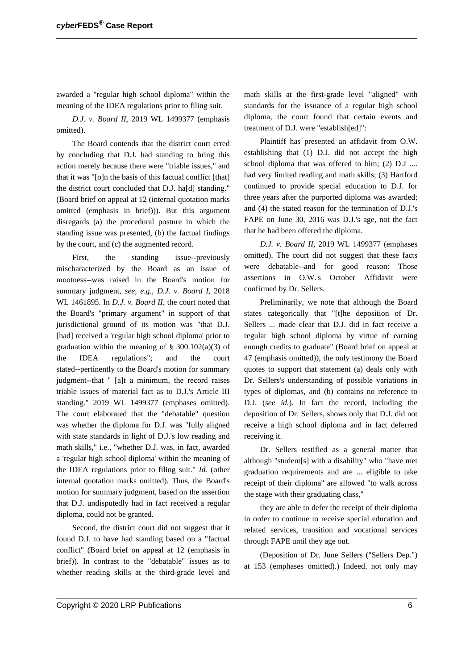awarded a "regular high school diploma" within the meaning of the IDEA regulations prior to filing suit.

*D.J. v. Board II*, 2019 WL 1499377 (emphasis omitted).

The Board contends that the district court erred by concluding that D.J. had standing to bring this action merely because there were "triable issues," and that it was "[o]n the basis of this factual conflict [that] the district court concluded that D.J. ha[d] standing." (Board brief on appeal at 12 (internal quotation marks omitted (emphasis in brief))). But this argument disregards (a) the procedural posture in which the standing issue was presented, (b) the factual findings by the court, and (c) the augmented record.

First, the standing issue--previously mischaracterized by the Board as an issue of mootness--was raised in the Board's motion for summary judgment, *see, e.g., D.J. v. Board I*, 2018 WL 1461895. In *D.J. v. Board II*, the court noted that the Board's "primary argument" in support of that jurisdictional ground of its motion was "that D.J. [had] received a 'regular high school diploma' prior to graduation within the meaning of  $\S$  300.102(a)(3) of the IDEA regulations"; and the court stated--pertinently to the Board's motion for summary judgment--that " [a]t a minimum, the record raises triable issues of material fact as to D.J.'s Article III standing." 2019 WL 1499377 (emphases omitted). The court elaborated that the "debatable" question was whether the diploma for D.J. was "fully aligned with state standards in light of D.J.'s low reading and math skills," i.e., "whether D.J. was, in fact, awarded a 'regular high school diploma' within the meaning of the IDEA regulations prior to filing suit." *Id.* (other internal quotation marks omitted). Thus, the Board's motion for summary judgment, based on the assertion that D.J. undisputedly had in fact received a regular diploma, could not be granted.

Second, the district court did not suggest that it found D.J. to have had standing based on a "factual conflict" (Board brief on appeal at 12 (emphasis in brief)). In contrast to the "debatable" issues as to whether reading skills at the third-grade level and

math skills at the first-grade level "aligned" with standards for the issuance of a regular high school diploma, the court found that certain events and treatment of D.J. were "establish[ed]":

Plaintiff has presented an affidavit from O.W. establishing that (1) D.J. did not accept the high school diploma that was offered to him; (2) D.J .... had very limited reading and math skills; (3) Hartford continued to provide special education to D.J. for three years after the purported diploma was awarded; and (4) the stated reason for the termination of D.J.'s FAPE on June 30, 2016 was D.J.'s age, not the fact that he had been offered the diploma.

*D.J. v. Board II*, 2019 WL 1499377 (emphases omitted). The court did not suggest that these facts were debatable--and for good reason: Those assertions in O.W.'s October Affidavit were confirmed by Dr. Sellers.

Preliminarily, we note that although the Board states categorically that "[t]he deposition of Dr. Sellers ... made clear that D.J. did in fact receive a regular high school diploma by virtue of earning enough credits to graduate" (Board brief on appeal at 47 (emphasis omitted)), the only testimony the Board quotes to support that statement (a) deals only with Dr. Sellers's understanding of possible variations in types of diplomas, and (b) contains no reference to D.J. (*see id.*). In fact the record, including the deposition of Dr. Sellers, shows only that D.J. did not receive a high school diploma and in fact deferred receiving it.

Dr. Sellers testified as a general matter that although "student[s] with a disability" who "have met graduation requirements and are ... eligible to take receipt of their diploma" are allowed "to walk across the stage with their graduating class,"

they are able to defer the receipt of their diploma in order to continue to receive special education and related services, transition and vocational services through FAPE until they age out.

(Deposition of Dr. June Sellers ("Sellers Dep.") at 153 (emphases omitted).) Indeed, not only may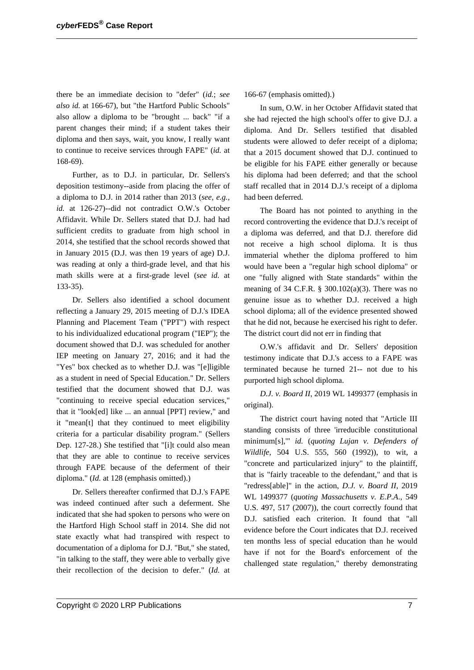there be an immediate decision to "defer" (*id.*; *see also id.* at 166-67), but "the Hartford Public Schools" also allow a diploma to be "brought ... back" "if a parent changes their mind; if a student takes their diploma and then says, wait, you know, I really want to continue to receive services through FAPE" (*id.* at 168-69).

Further, as to D.J. in particular, Dr. Sellers's deposition testimony--aside from placing the offer of a diploma to D.J. in 2014 rather than 2013 (*see, e.g., id.* at 126-27)--did not contradict O.W.'s October Affidavit. While Dr. Sellers stated that D.J. had had sufficient credits to graduate from high school in 2014, she testified that the school records showed that in January 2015 (D.J. was then 19 years of age) D.J. was reading at only a third-grade level, and that his math skills were at a first-grade level (*see id.* at 133-35).

Dr. Sellers also identified a school document reflecting a January 29, 2015 meeting of D.J.'s IDEA Planning and Placement Team ("PPT") with respect to his individualized educational program ("IEP"); the document showed that D.J. was scheduled for another IEP meeting on January 27, 2016; and it had the "Yes" box checked as to whether D.J. was "[e]ligible as a student in need of Special Education." Dr. Sellers testified that the document showed that D.J. was "continuing to receive special education services," that it "look[ed] like ... an annual [PPT] review," and it "mean[t] that they continued to meet eligibility criteria for a particular disability program." (Sellers Dep. 127-28.) She testified that "[i]t could also mean that they are able to continue to receive services through FAPE because of the deferment of their diploma." (*Id.* at 128 (emphasis omitted).)

Dr. Sellers thereafter confirmed that D.J.'s FAPE was indeed continued after such a deferment. She indicated that she had spoken to persons who were on the Hartford High School staff in 2014. She did not state exactly what had transpired with respect to documentation of a diploma for D.J. "But," she stated, "in talking to the staff, they were able to verbally give their recollection of the decision to defer." (*Id.* at 166-67 (emphasis omitted).)

In sum, O.W. in her October Affidavit stated that she had rejected the high school's offer to give D.J. a diploma. And Dr. Sellers testified that disabled students were allowed to defer receipt of a diploma; that a 2015 document showed that D.J. continued to be eligible for his FAPE either generally or because his diploma had been deferred; and that the school staff recalled that in 2014 D.J.'s receipt of a diploma had been deferred.

The Board has not pointed to anything in the record controverting the evidence that D.J.'s receipt of a diploma was deferred, and that D.J. therefore did not receive a high school diploma. It is thus immaterial whether the diploma proffered to him would have been a "regular high school diploma" or one "fully aligned with State standards" within the meaning of 34 C.F.R.  $\S$  300.102(a)(3). There was no genuine issue as to whether D.J. received a high school diploma; all of the evidence presented showed that he did not, because he exercised his right to defer. The district court did not err in finding that

O.W.'s affidavit and Dr. Sellers' deposition testimony indicate that D.J.'s access to a FAPE was terminated because he turned 21-- not due to his purported high school diploma.

*D.J. v. Board II*, 2019 WL 1499377 (emphasis in original).

The district court having noted that "Article III standing consists of three 'irreducible constitutional minimum[s],'" *id.* (*quoting Lujan v. Defenders of Wildlife*, 504 U.S. 555, 560 (1992)), to wit, a "concrete and particularized injury" to the plaintiff, that is "fairly traceable to the defendant," and that is "redress[able]" in the action, *D.J. v. Board II*, 2019 WL 1499377 (*quoting Massachusetts v. E.P.A*., 549 U.S. 497, 517 (2007)), the court correctly found that D.J. satisfied each criterion. It found that "all evidence before the Court indicates that D.J. received ten months less of special education than he would have if not for the Board's enforcement of the challenged state regulation," thereby demonstrating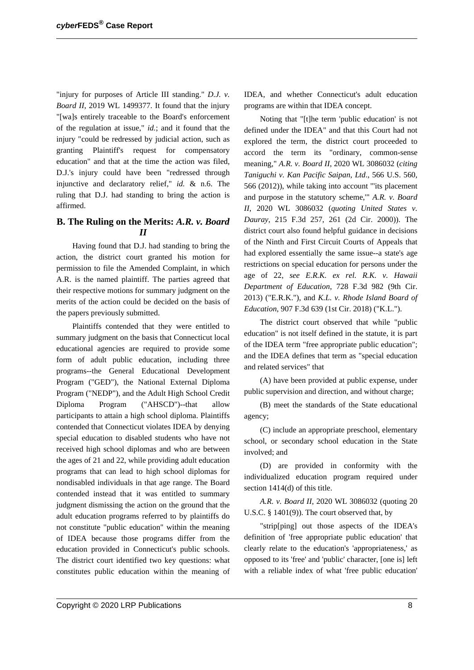"injury for purposes of Article III standing." *D.J. v. Board II*, 2019 WL 1499377. It found that the injury "[wa]s entirely traceable to the Board's enforcement of the regulation at issue," *id.*; and it found that the injury "could be redressed by judicial action, such as granting Plaintiff's request for compensatory education" and that at the time the action was filed, D.J.'s injury could have been "redressed through injunctive and declaratory relief," *id.* & n.6. The ruling that D.J. had standing to bring the action is affirmed.

## **B. The Ruling on the Merits:** *A.R. v. Board II*

Having found that D.J. had standing to bring the action, the district court granted his motion for permission to file the Amended Complaint, in which A.R. is the named plaintiff. The parties agreed that their respective motions for summary judgment on the merits of the action could be decided on the basis of the papers previously submitted.

Plaintiffs contended that they were entitled to summary judgment on the basis that Connecticut local educational agencies are required to provide some form of adult public education, including three programs--the General Educational Development Program ("GED"), the National External Diploma Program ("NEDP"), and the Adult High School Credit Diploma Program ("AHSCD")--that allow participants to attain a high school diploma. Plaintiffs contended that Connecticut violates IDEA by denying special education to disabled students who have not received high school diplomas and who are between the ages of 21 and 22, while providing adult education programs that can lead to high school diplomas for nondisabled individuals in that age range. The Board contended instead that it was entitled to summary judgment dismissing the action on the ground that the adult education programs referred to by plaintiffs do not constitute "public education" within the meaning of IDEA because those programs differ from the education provided in Connecticut's public schools. The district court identified two key questions: what constitutes public education within the meaning of IDEA, and whether Connecticut's adult education programs are within that IDEA concept.

Noting that "[t]he term 'public education' is not defined under the IDEA" and that this Court had not explored the term, the district court proceeded to accord the term its "ordinary, common-sense meaning," *A.R. v. Board II*, 2020 WL 3086032 (*citing Taniguchi v. Kan Pacific Saipan, Ltd*., 566 U.S. 560, 566 (2012)), while taking into account "'its placement and purpose in the statutory scheme,'" *A.R. v. Board II*, 2020 WL 3086032 (*quoting United States v. Dauray*, 215 F.3d 257, 261 (2d Cir. 2000)). The district court also found helpful guidance in decisions of the Ninth and First Circuit Courts of Appeals that had explored essentially the same issue--a state's age restrictions on special education for persons under the age of 22, *see E.R.K. ex rel. R.K. v. Hawaii Department of Education*, 728 F.3d 982 (9th Cir. 2013) ("E.R.K."), and *K.L. v. Rhode Island Board of Education*, 907 F.3d 639 (1st Cir. 2018) ("K.L.").

The district court observed that while "public education" is not itself defined in the statute, it is part of the IDEA term "free appropriate public education"; and the IDEA defines that term as "special education and related services" that

(A) have been provided at public expense, under public supervision and direction, and without charge;

(B) meet the standards of the State educational agency;

(C) include an appropriate preschool, elementary school, or secondary school education in the State involved; and

(D) are provided in conformity with the individualized education program required under section 1414(d) of this title.

*A.R. v. Board II*, 2020 WL 3086032 (quoting 20 U.S.C. § 1401(9)). The court observed that, by

"strip[ping] out those aspects of the IDEA's definition of 'free appropriate public education' that clearly relate to the education's 'appropriateness,' as opposed to its 'free' and 'public' character, [one is] left with a reliable index of what 'free public education'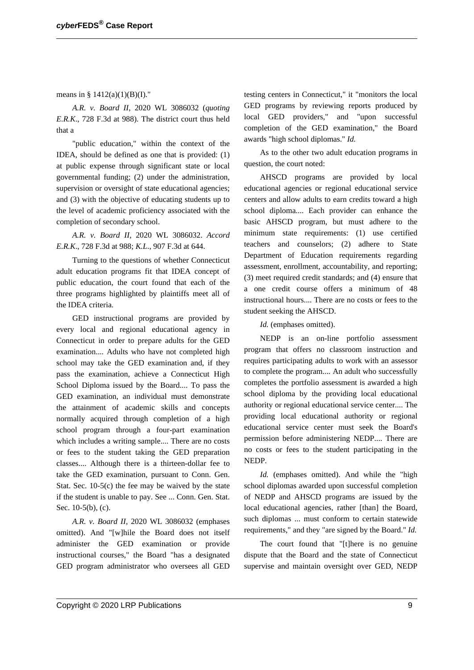means in §  $1412(a)(1)(B)(I)$ ."

*A.R. v. Board II*, 2020 WL 3086032 (*quoting E.R.K*., 728 F.3d at 988). The district court thus held that a

"public education," within the context of the IDEA, should be defined as one that is provided: (1) at public expense through significant state or local governmental funding; (2) under the administration, supervision or oversight of state educational agencies; and (3) with the objective of educating students up to the level of academic proficiency associated with the completion of secondary school.

*A.R. v. Board II*, 2020 WL 3086032. *Accord E.R.K*., 728 F.3d at 988; *K.L*., 907 F.3d at 644.

Turning to the questions of whether Connecticut adult education programs fit that IDEA concept of public education, the court found that each of the three programs highlighted by plaintiffs meet all of the IDEA criteria.

GED instructional programs are provided by every local and regional educational agency in Connecticut in order to prepare adults for the GED examination.... Adults who have not completed high school may take the GED examination and, if they pass the examination, achieve a Connecticut High School Diploma issued by the Board.... To pass the GED examination, an individual must demonstrate the attainment of academic skills and concepts normally acquired through completion of a high school program through a four-part examination which includes a writing sample.... There are no costs or fees to the student taking the GED preparation classes.... Although there is a thirteen-dollar fee to take the GED examination, pursuant to Conn. Gen. Stat. Sec. 10-5(c) the fee may be waived by the state if the student is unable to pay. See ... Conn. Gen. Stat. Sec. 10-5(b), (c).

*A.R. v. Board II*, 2020 WL 3086032 (emphases omitted). And "[w]hile the Board does not itself administer the GED examination or provide instructional courses," the Board "has a designated GED program administrator who oversees all GED testing centers in Connecticut," it "monitors the local GED programs by reviewing reports produced by local GED providers," and "upon successful completion of the GED examination," the Board awards "high school diplomas." *Id.*

As to the other two adult education programs in question, the court noted:

AHSCD programs are provided by local educational agencies or regional educational service centers and allow adults to earn credits toward a high school diploma.... Each provider can enhance the basic AHSCD program, but must adhere to the minimum state requirements: (1) use certified teachers and counselors; (2) adhere to State Department of Education requirements regarding assessment, enrollment, accountability, and reporting; (3) meet required credit standards; and (4) ensure that a one credit course offers a minimum of 48 instructional hours.... There are no costs or fees to the student seeking the AHSCD.

*Id.* (emphases omitted).

NEDP is an on-line portfolio assessment program that offers no classroom instruction and requires participating adults to work with an assessor to complete the program.... An adult who successfully completes the portfolio assessment is awarded a high school diploma by the providing local educational authority or regional educational service center.... The providing local educational authority or regional educational service center must seek the Board's permission before administering NEDP.... There are no costs or fees to the student participating in the NEDP.

*Id.* (emphases omitted). And while the "high school diplomas awarded upon successful completion of NEDP and AHSCD programs are issued by the local educational agencies, rather [than] the Board, such diplomas ... must conform to certain statewide requirements," and they "are signed by the Board." *Id.*

The court found that "[t]here is no genuine dispute that the Board and the state of Connecticut supervise and maintain oversight over GED, NEDP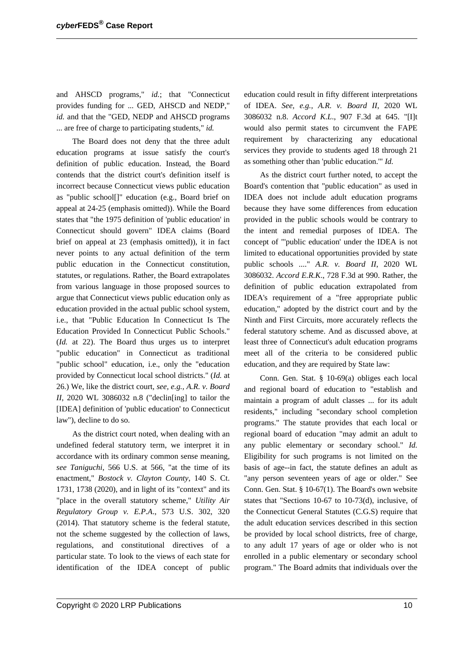and AHSCD programs," *id.*; that "Connecticut provides funding for ... GED, AHSCD and NEDP," *id.* and that the "GED, NEDP and AHSCD programs ... are free of charge to participating students," *id.*

The Board does not deny that the three adult education programs at issue satisfy the court's definition of public education. Instead, the Board contends that the district court's definition itself is incorrect because Connecticut views public education as "public school[]" education (e.g., Board brief on appeal at 24-25 (emphasis omitted)). While the Board states that "the 1975 definition of 'public education' in Connecticut should govern" IDEA claims (Board brief on appeal at 23 (emphasis omitted)), it in fact never points to any actual definition of the term public education in the Connecticut constitution, statutes, or regulations. Rather, the Board extrapolates from various language in those proposed sources to argue that Connecticut views public education only as education provided in the actual public school system, i.e., that "Public Education In Connecticut Is The Education Provided In Connecticut Public Schools." (*Id.* at 22). The Board thus urges us to interpret "public education" in Connecticut as traditional "public school" education, i.e., only the "education provided by Connecticut local school districts." (*Id.* at 26.) We, like the district court, *see, e.g., A.R. v. Board II*, 2020 WL 3086032 n.8 ("declin[ing] to tailor the [IDEA] definition of 'public education' to Connecticut law"), decline to do so.

As the district court noted, when dealing with an undefined federal statutory term, we interpret it in accordance with its ordinary common sense meaning, *see Taniguchi*, 566 U.S. at 566, "at the time of its enactment," *Bostock v. Clayton County*, 140 S. Ct. 1731, 1738 (2020), and in light of its "context" and its "place in the overall statutory scheme," *Utility Air Regulatory Group v. E.P.A*., 573 U.S. 302, 320 (2014). That statutory scheme is the federal statute, not the scheme suggested by the collection of laws, regulations, and constitutional directives of a particular state. To look to the views of each state for identification of the IDEA concept of public education could result in fifty different interpretations of IDEA. *See, e.g., A.R. v. Board II*, 2020 WL 3086032 n.8. *Accord K.L*., 907 F.3d at 645. "[I]t would also permit states to circumvent the FAPE requirement by characterizing any educational services they provide to students aged 18 through 21 as something other than 'public education.'" *Id.*

As the district court further noted, to accept the Board's contention that "public education" as used in IDEA does not include adult education programs because they have some differences from education provided in the public schools would be contrary to the intent and remedial purposes of IDEA. The concept of "'public education' under the IDEA is not limited to educational opportunities provided by state public schools ...." *A.R. v. Board II*, 2020 WL 3086032. *Accord E.R.K*., 728 F.3d at 990. Rather, the definition of public education extrapolated from IDEA's requirement of a "free appropriate public education," adopted by the district court and by the Ninth and First Circuits, more accurately reflects the federal statutory scheme. And as discussed above, at least three of Connecticut's adult education programs meet all of the criteria to be considered public education, and they are required by State law:

Conn. Gen. Stat. § 10-69(a) obliges each local and regional board of education to "establish and maintain a program of adult classes ... for its adult residents," including "secondary school completion programs." The statute provides that each local or regional board of education "may admit an adult to any public elementary or secondary school." *Id.* Eligibility for such programs is not limited on the basis of age--in fact, the statute defines an adult as "any person seventeen years of age or older." See Conn. Gen. Stat. § 10-67(1). The Board's own website states that "Sections 10-67 to 10-73(d), inclusive, of the Connecticut General Statutes (C.G.S) require that the adult education services described in this section be provided by local school districts, free of charge, to any adult 17 years of age or older who is not enrolled in a public elementary or secondary school program." The Board admits that individuals over the